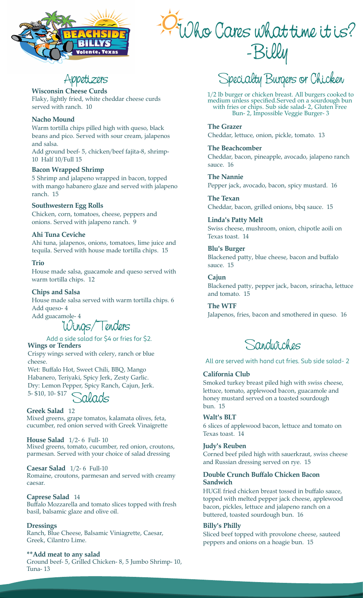

# Who Cares what time it is? -Billy

**Wisconsin Cheese Curds** Flaky, lightly fried, white cheddar cheese curds served with ranch. 10

### **Nacho Mound**

Warm tortilla chips pilled high with queso, black beans and pico. Served with sour cream, jalapenos and salsa.

Add ground beef- 5, chicken/beef fajita-8, shrimp-10 Half 10/Full 15

### **Bacon Wrapped Shrimp**

5 Shrimp and jalapeno wrapped in bacon, topped with mango habanero glaze and served with jalapeno ranch. 15

### **Southwestern Egg Rolls**

Chicken, corn, tomatoes, cheese, peppers and onions. Served with jalapeno ranch. 9

### **Ahi Tuna Ceviche**

Ahi tuna, jalapenos, onions, tomatoes, lime juice and tequila. Served with house made tortilla chips. 15

### **Trio**

House made salsa, guacamole and queso served with warm tortilla chips. 12

### **Chips and Salsa**

House made salsa served with warm tortilla chips. 6 Add queso- 4

Add guacamole- 4

Wings/Tenders

**Wings or Tenders** Add a side salad for \$4 or fries for \$2.

Crispy wings served with celery, ranch or blue cheese.

Wet: Buffalo Hot, Sweet Chili, BBQ, Mango Habanero, Teriyaki, Spicy Jerk, Zesty Garlic. Dry: Lemon Pepper, Spicy Ranch, Cajun, Jerk. 5- \$10, 10- \$17

Salads

**Greek Salad** 12 Mixed greens, grape tomatos, kalamata olives, feta, cucumber, red onion served with Greek Vinaigrette

**House Salad** 1/2- 6 Full- 10 Mixed greens, tomato, cucumber, red onion, croutons, parmesan. Served with your choice of salad dressing

### **Caesar Salad** 1/2- 6 Full-10

Romaine, croutons, parmesan and served with creamy caesar.

### **Caprese Salad** 14

Buffalo Mozzarella and tomato slices topped with fresh basil, balsamic glaze and olive oil.

### **Dressings**

Ranch, Blue Cheese, Balsamic Viniagrette, Caesar, Greek, Cilantro Lime.

### **\*\*Add meat to any salad**

Ground beef- 5, Grilled Chicken- 8, 5 Jumbo Shrimp- 10, Tuna- 13

Appetizers Specialty Burgers or Chicken

1/2 lb burger or chicken breast. All burgers cooked to medium unless specified.Served on a sourdough bun with fries or chips. Sub side salad- 2, Gluten Free Bun- 2, Impossible Veggie Burger- 3

**The Grazer** Cheddar, lettuce, onion, pickle, tomato. 13

**The Beachcomber** Cheddar, bacon, pineapple, avocado, jalapeno ranch sauce. 16

**The Nannie** Pepper jack, avocado, bacon, spicy mustard. 16

**The Texan** Cheddar, bacon, grilled onions, bbq sauce. 15

**Linda's Patty Melt** Swiss cheese, mushroom, onion, chipotle aoili on Texas toast. 14

**Blu's Burger** Blackened patty, blue cheese, bacon and buffalo sauce. 15

**Cajun** Blackened patty, pepper jack, bacon, sriracha, lettuce and tomato. 15

**The WTF** Jalapenos, fries, bacon and smothered in queso. 16

Sandwiches

All are served with hand cut fries. Sub side salad- 2

### **California Club**

Smoked turkey breast piled high with swiss cheese, lettuce, tomato, applewood bacon, guacamole and honey mustard served on a toasted sourdough bun. 15

### **Walt's BLT**

6 slices of applewood bacon, lettuce and tomato on Texas toast. 14

### **Judy's Reuben**

Corned beef piled high with sauerkraut, swiss cheese and Russian dressing served on rye. 15

### **Double Crunch Buffalo Chicken Bacon Sandwich**

HUGE fried chicken breast tossed in buffalo sauce, topped with melted pepper jack cheese, applewood bacon, pickles, lettuce and jalapeno ranch on a buttered, toasted sourdough bun. 16

### **Billy's Philly**

Sliced beef topped with provolone cheese, sauteed peppers and onions on a hoagie bun. 15